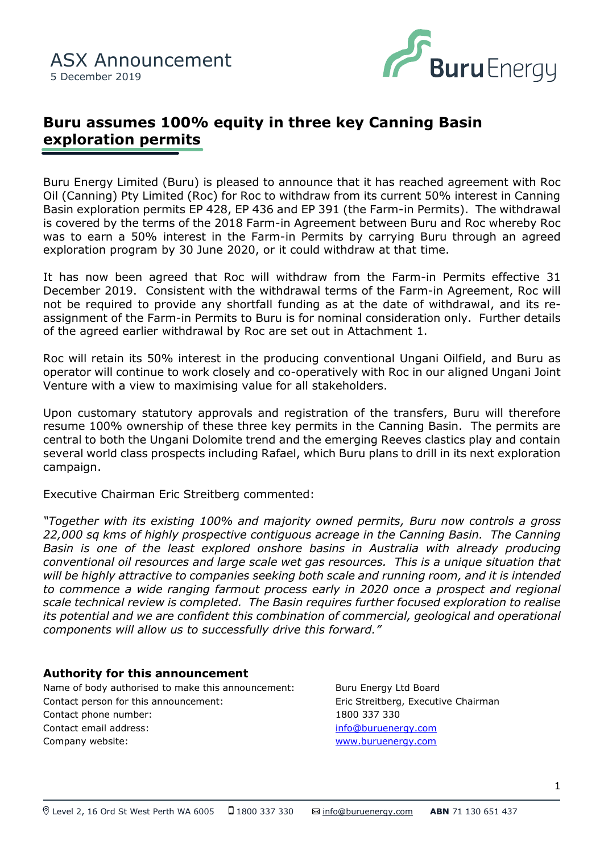

# **Buru assumes 100% equity in three key Canning Basin exploration permits**

was to earn a 50% interest in the Farm-in Permits by carrying Buru<br>exploration program by 30 June 2020, or it could withdraw at that time. Buru Energy Limited (Buru) is pleased to announce that it has reached agreement with Roc Oil (Canning) Pty Limited (Roc) for Roc to withdraw from its current 50% interest in Canning Basin exploration permits EP 428, EP 436 and EP 391 (the Farm-in Permits). The withdrawal is covered by the terms of the 2018 Farm-in Agreement between Buru and Roc whereby Roc was to earn a 50% interest in the Farm-in Permits by carrying Buru through an agreed

It has now been agreed that Roc will withdraw from the Farm-in Permits effective 31 December 2019. Consistent with the withdrawal terms of the Farm-in Agreement, Roc will not be required to provide any shortfall funding as at the date of withdrawal, and its reassignment of the Farm-in Permits to Buru is for nominal consideration only. Further details of the agreed earlier withdrawal by Roc are set out in Attachment 1.

Roc will retain its 50% interest in the producing conventional Ungani Oilfield, and Buru as operator will continue to work closely and co-operatively with Roc in our aligned Ungani Joint Venture with a view to maximising value for all stakeholders.

Upon customary statutory approvals and registration of the transfers, Buru will therefore resume 100% ownership of these three key permits in the Canning Basin. The permits are central to both the Ungani Dolomite trend and the emerging Reeves clastics play and contain several world class prospects including Rafael, which Buru plans to drill in its next exploration campaign.

Executive Chairman Eric Streitberg commented:

*"Together with its existing 100% and majority owned permits, Buru now controls a gross 22,000 sq kms of highly prospective contiguous acreage in the Canning Basin. The Canning Basin is one of the least explored onshore basins in Australia with already producing conventional oil resources and large scale wet gas resources. This is a unique situation that will be highly attractive to companies seeking both scale and running room, and it is intended to commence a wide ranging farmout process early in 2020 once a prospect and regional scale technical review is completed. The Basin requires further focused exploration to realise its potential and we are confident this combination of commercial, geological and operational components will allow us to successfully drive this forward."*

#### **Authority for this announcement**

Name of body authorised to make this announcement: Buru Energy Ltd Board Contact person for this announcement: Eric Streitberg, Executive Chairman Contact phone number: 1800 337 330 Contact email address: [info@buruenergy.com](mailto:info@buruenergy.com) Company website: [www.buruenergy.com](http://www.buruenergy.com/)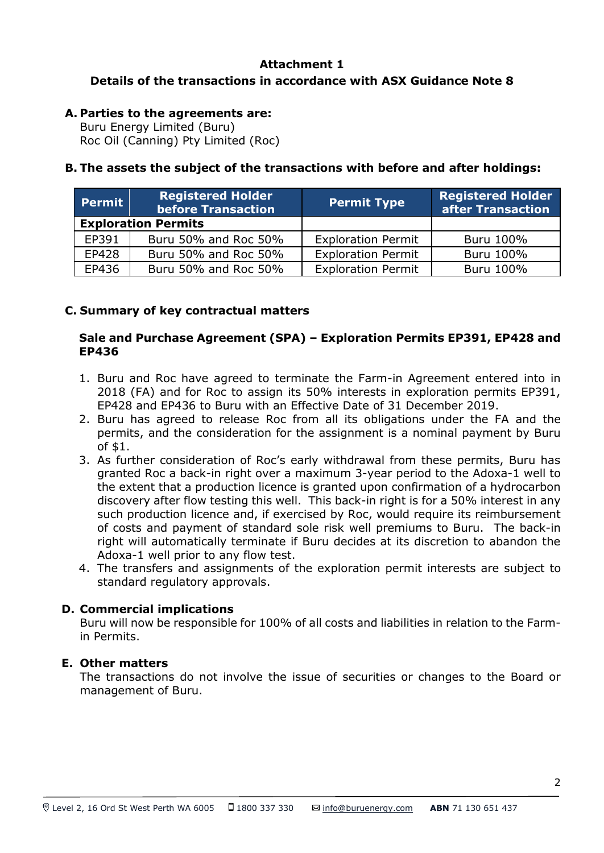# **Attachment 1 Details of the transactions in accordance with ASX Guidance Note 8**

# **A. Parties to the agreements are:**

Buru Energy Limited (Buru) Roc Oil (Canning) Pty Limited (Roc)

## **B. The assets the subject of the transactions with before and after holdings:**

| <b>Permit</b>              | <b>Registered Holder</b><br><b>before Transaction</b> | <b>Permit Type</b>        | <b>Registered Holder</b><br>after Transaction |
|----------------------------|-------------------------------------------------------|---------------------------|-----------------------------------------------|
| <b>Exploration Permits</b> |                                                       |                           |                                               |
| EP391                      | Buru 50% and Roc 50%                                  | <b>Exploration Permit</b> | Buru 100%                                     |
| EP428                      | Buru 50% and Roc 50%                                  | <b>Exploration Permit</b> | Buru 100%                                     |
| EP436                      | Buru 50% and Roc 50%                                  | <b>Exploration Permit</b> | Buru 100%                                     |

### **C. Summary of key contractual matters**

#### **Sale and Purchase Agreement (SPA) – Exploration Permits EP391, EP428 and EP436**

- 1. Buru and Roc have agreed to terminate the Farm-in Agreement entered into in 2018 (FA) and for Roc to assign its 50% interests in exploration permits EP391, EP428 and EP436 to Buru with an Effective Date of 31 December 2019.
- 2. Buru has agreed to release Roc from all its obligations under the FA and the permits, and the consideration for the assignment is a nominal payment by Buru of \$1.
- 3. As further consideration of Roc's early withdrawal from these permits, Buru has granted Roc a back-in right over a maximum 3-year period to the Adoxa-1 well to the extent that a production licence is granted upon confirmation of a hydrocarbon discovery after flow testing this well. This back-in right is for a 50% interest in any such production licence and, if exercised by Roc, would require its reimbursement of costs and payment of standard sole risk well premiums to Buru. The back-in right will automatically terminate if Buru decides at its discretion to abandon the Adoxa-1 well prior to any flow test.
- 4. The transfers and assignments of the exploration permit interests are subject to standard regulatory approvals.

#### **D. Commercial implications**

Buru will now be responsible for 100% of all costs and liabilities in relation to the Farmin Permits.

#### **E. Other matters**

The transactions do not involve the issue of securities or changes to the Board or management of Buru.